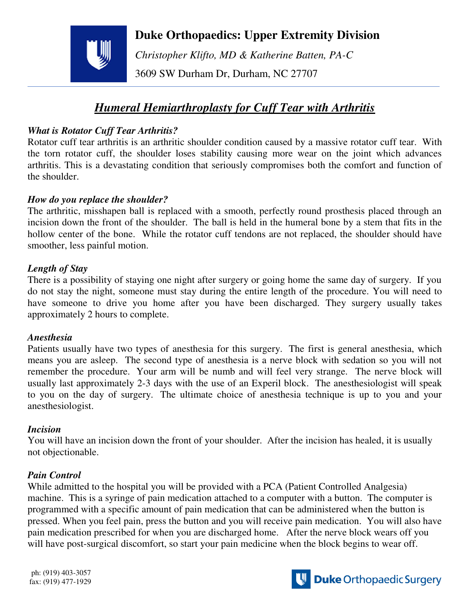# **Duke Orthopaedics: Upper Extremity Division**



*Christopher Klifto, MD & Katherine Batten, PA-C* 

3609 SW Durham Dr, Durham, NC 27707

# *Humeral Hemiarthroplasty for Cuff Tear with Arthritis*

### *What is Rotator Cuff Tear Arthritis?*

Rotator cuff tear arthritis is an arthritic shoulder condition caused by a massive rotator cuff tear. With the torn rotator cuff, the shoulder loses stability causing more wear on the joint which advances arthritis. This is a devastating condition that seriously compromises both the comfort and function of the shoulder.

#### *How do you replace the shoulder?*

The arthritic, misshapen ball is replaced with a smooth, perfectly round prosthesis placed through an incision down the front of the shoulder. The ball is held in the humeral bone by a stem that fits in the hollow center of the bone. While the rotator cuff tendons are not replaced, the shoulder should have smoother, less painful motion.

#### *Length of Stay*

There is a possibility of staying one night after surgery or going home the same day of surgery. If you do not stay the night, someone must stay during the entire length of the procedure. You will need to have someone to drive you home after you have been discharged. They surgery usually takes approximately 2 hours to complete.

#### *Anesthesia*

Patients usually have two types of anesthesia for this surgery. The first is general anesthesia, which means you are asleep. The second type of anesthesia is a nerve block with sedation so you will not remember the procedure. Your arm will be numb and will feel very strange. The nerve block will usually last approximately 2-3 days with the use of an Experil block. The anesthesiologist will speak to you on the day of surgery. The ultimate choice of anesthesia technique is up to you and your anesthesiologist.

#### *Incision*

You will have an incision down the front of your shoulder. After the incision has healed, it is usually not objectionable.

#### *Pain Control*

While admitted to the hospital you will be provided with a PCA (Patient Controlled Analgesia) machine. This is a syringe of pain medication attached to a computer with a button. The computer is programmed with a specific amount of pain medication that can be administered when the button is pressed. When you feel pain, press the button and you will receive pain medication. You will also have pain medication prescribed for when you are discharged home. After the nerve block wears off you will have post-surgical discomfort, so start your pain medicine when the block begins to wear off.